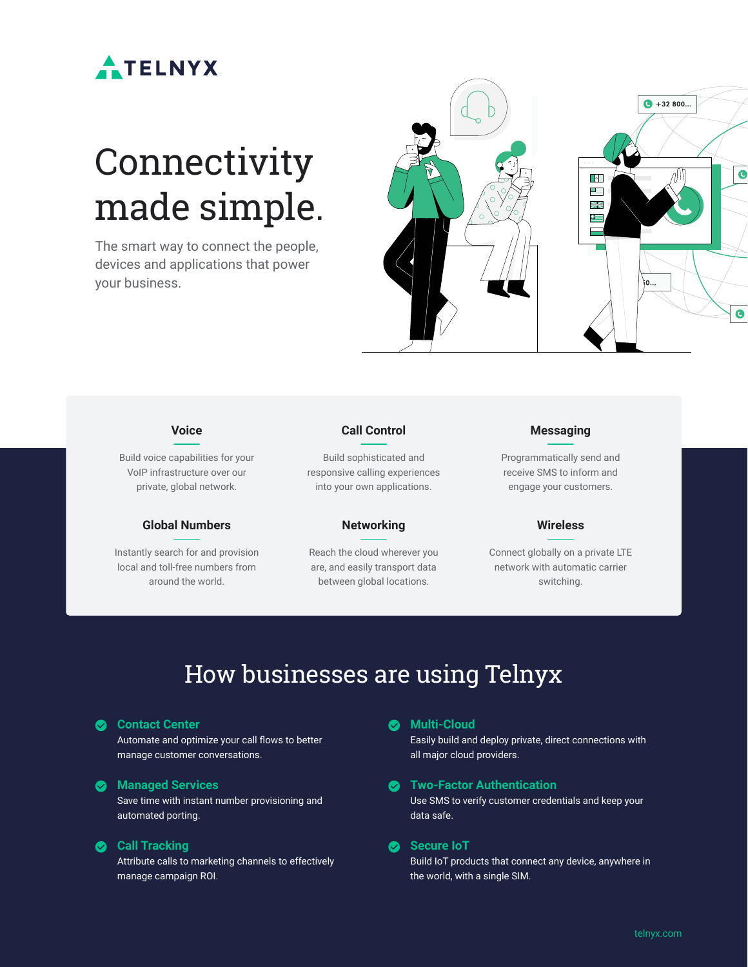

# **Connectivity** made simple.

The smart way to connect the people, devices and applications that power your business.





Build voice capabilities for your VoIP infrastructure over our private, global network.

#### **Global Numbers**

Instantly search for and provision local and toll-free numbers from around the world.

#### **Call Control**

Build sophisticated and responsive calling experiences into your own applications.

#### **Networking**

Reach the cloud wherever you are, and easily transport data between global locations.

#### **Messaging**

Programmatically send and receive SMS to inform and engage your customers.

#### **Wireless**

Connect globally on a private LTE network with automatic carrier switching.

### How businesses are using Telnyx

#### **Contact Center**

Automate and optimize your call flows to better manage customer conversations.

#### **Managed Services**

Save time with instant number provisioning and automated porting.

#### **Call Tracking**

Attribute calls to marketing channels to effectively manage campaign ROI.

#### **Multi-Cloud**

Easily build and deploy private, direct connections with all major cloud providers.

#### **Two-Factor Authentication**

Use SMS to verify customer credentials and keep your data safe.

#### **Secure IoT**

Build IoT products that connect any device, anywhere in the world, with a single SIM.